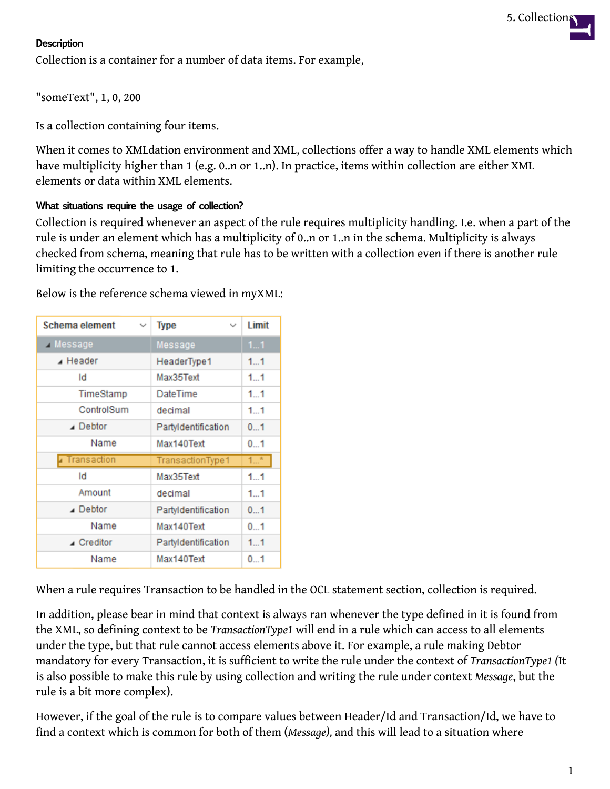#### **Description**

Collection is a container for a number of data items. For example,

"someText", 1, 0, 200

Is a collection containing four items.

When it comes to XMLdation environment and XML, collections offer a way to handle XML elements which have multiplicity higher than 1 (e.g. 0..n or 1..n). In practice, items within collection are either XML elements or data within XML elements.

#### **What situations require the usage of collection?**

Collection is required whenever an aspect of the rule requires multiplicity handling. I.e. when a part of the rule is under an element which has a multiplicity of 0..n or 1..n in the schema. Multiplicity is always checked from schema, meaning that rule has to be written with a collection even if there is another rule limiting the occurrence to 1.

| Schema element<br>$\checkmark$ | <b>Type</b><br>$\checkmark$ | <b>Limit</b> |
|--------------------------------|-----------------------------|--------------|
| A Message                      | Message                     | 11           |
| $\blacktriangle$ Header        | HeaderType1                 | 11           |
| Id                             | Max35Text                   | 11           |
| TimeStamp                      | DateTime                    | $1_{}1$      |
| ControlSum                     | decimal                     | 1.1          |
| $\blacktriangle$ Debtor        | Partyldentification         | 01           |
| Name                           | Max140Text                  | 01           |
| Transaction                    | TransactionType1            | $1^*$        |
| Id                             | Max35Text                   | 11           |
| Amount                         | decimal                     | 11           |
| $\blacktriangle$ Debtor        | PartyIdentification         | 01           |
| Name                           | Max140Text                  | 01           |
| ▲ Creditor                     | Partyldentification         | 11           |
| Name                           | Max140Text                  | 01           |

Below is the reference schema viewed in myXML:

When a rule requires Transaction to be handled in the OCL statement section, collection is required.

In addition, please bear in mind that context is always ran whenever the type defined in it is found from the XML, so defining context to be *TransactionType1* will end in a rule which can access to all elements under the type, but that rule cannot access elements above it. For example, a rule making Debtor mandatory for every Transaction, it is sufficient to write the rule under the context of *TransactionType1 (*It is also possible to make this rule by using collection and writing the rule under context *Message*, but the rule is a bit more complex).

However, if the goal of the rule is to compare values between Header/Id and Transaction/Id, we have to find a context which is common for both of them (*Message),* and this will lead to a situation where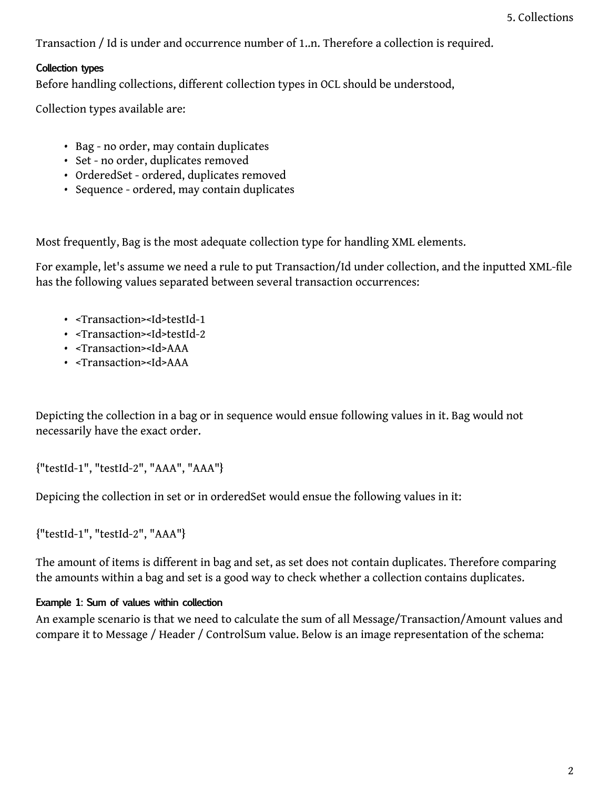Transaction / Id is under and occurrence number of 1..n. Therefore a collection is required.

# **Collection types**

Before handling collections, different collection types in OCL should be understood,

Collection types available are:

- Bag no order, may contain duplicates
- Set no order, duplicates removed
- OrderedSet ordered, duplicates removed
- Sequence ordered, may contain duplicates

Most frequently, Bag is the most adequate collection type for handling XML elements.

For example, let's assume we need a rule to put Transaction/Id under collection, and the inputted XML-file has the following values separated between several transaction occurrences:

- <Transaction><Id>testId-1
- <Transaction><Id>testId-2
- <Transaction><Id>AAA
- <Transaction><Id>AAA

Depicting the collection in a bag or in sequence would ensue following values in it. Bag would not necessarily have the exact order.

{"testId-1", "testId-2", "AAA", "AAA"}

Depicing the collection in set or in orderedSet would ensue the following values in it:

{"testId-1", "testId-2", "AAA"}

The amount of items is different in bag and set, as set does not contain duplicates. Therefore comparing the amounts within a bag and set is a good way to check whether a collection contains duplicates.

# **Example 1: Sum of values within collection**

An example scenario is that we need to calculate the sum of all Message/Transaction/Amount values and compare it to Message / Header / ControlSum value. Below is an image representation of the schema: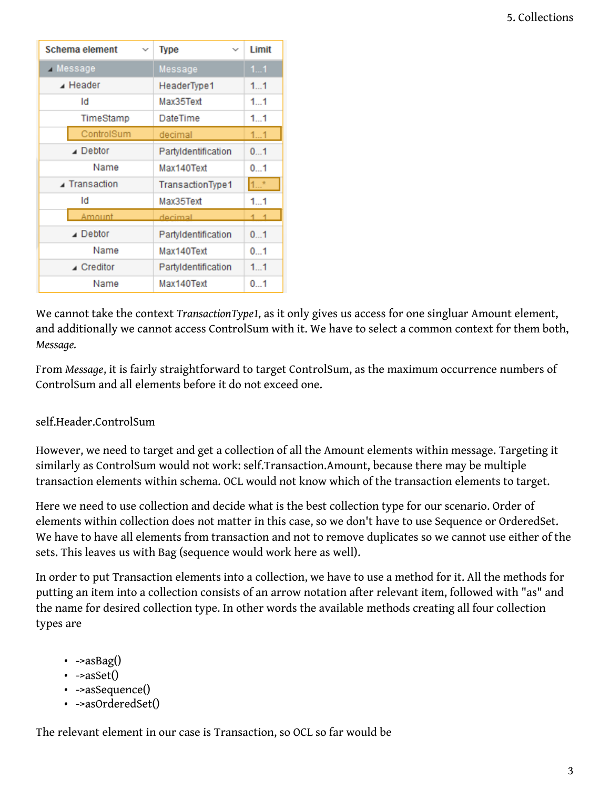| Schema element<br>$\checkmark$ | <b>Type</b><br>$\checkmark$ | Limit          |
|--------------------------------|-----------------------------|----------------|
| Message                        | Message                     | 11             |
| $\blacktriangle$ Header        | HeaderType1                 | 11             |
| Id                             | Max35Text                   | 11             |
| TimeStamp                      | DateTime                    | 11             |
| ControlSum                     | decimal                     | 11             |
| $\triangle$ Debtor             | Partyldentification         | 01             |
| Name                           | Max140Text                  | 01             |
| ⊿ Transaction                  | TransactionType1            | $1$ *          |
| Id                             | Max35Text                   | 11             |
| Amount.                        | decimal                     | 1 <sub>1</sub> |
| $\triangle$ Debtor             | Partyldentification         | 01             |
| Name                           | Max140Text                  | 01             |
| ⊿ Creditor                     | Partyldentification         | 11             |
| Name                           | Max140Text                  | 01             |

We cannot take the context *TransactionType1,* as it only gives us access for one singluar Amount element, and additionally we cannot access ControlSum with it. We have to select a common context for them both, *Message.*

From *Message*, it is fairly straightforward to target ControlSum, as the maximum occurrence numbers of ControlSum and all elements before it do not exceed one.

# self.Header.ControlSum

However, we need to target and get a collection of all the Amount elements within message. Targeting it similarly as ControlSum would not work: self.Transaction.Amount, because there may be multiple transaction elements within schema. OCL would not know which of the transaction elements to target.

Here we need to use collection and decide what is the best collection type for our scenario. Order of elements within collection does not matter in this case, so we don't have to use Sequence or OrderedSet. We have to have all elements from transaction and not to remove duplicates so we cannot use either of the sets. This leaves us with Bag (sequence would work here as well).

In order to put Transaction elements into a collection, we have to use a method for it. All the methods for putting an item into a collection consists of an arrow notation after relevant item, followed with "as" and the name for desired collection type. In other words the available methods creating all four collection types are

- $\cdot$  ->asBag()
- $\cdot$  ->asSet()
- - > as Sequence()
- - > as Ordered Set()

The relevant element in our case is Transaction, so OCL so far would be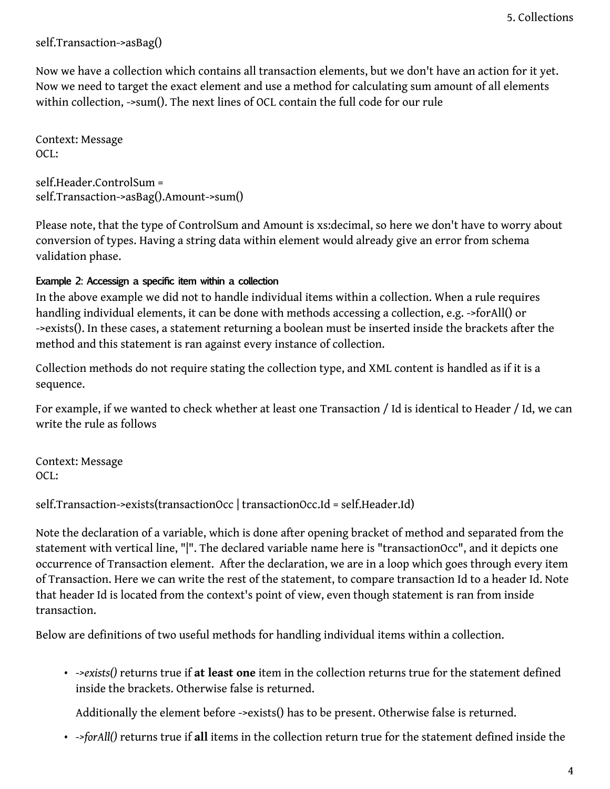self.Transaction->asBag()

Now we have a collection which contains all transaction elements, but we don't have an action for it yet. Now we need to target the exact element and use a method for calculating sum amount of all elements within collection, ->sum(). The next lines of OCL contain the full code for our rule

Context: Message OCL:

self.Header.ControlSum = self.Transaction->asBag().Amount->sum()

Please note, that the type of ControlSum and Amount is xs:decimal, so here we don't have to worry about conversion of types. Having a string data within element would already give an error from schema validation phase.

# **Example 2: Accessign a specific item within a collection**

In the above example we did not to handle individual items within a collection. When a rule requires handling individual elements, it can be done with methods accessing a collection, e.g. ->forAll() or ->exists(). In these cases, a statement returning a boolean must be inserted inside the brackets after the method and this statement is ran against every instance of collection.

Collection methods do not require stating the collection type, and XML content is handled as if it is a sequence.

For example, if we wanted to check whether at least one Transaction / Id is identical to Header / Id, we can write the rule as follows

Context: Message OCL:

self.Transaction->exists(transactionOcc | transactionOcc.Id = self.Header.Id)

Note the declaration of a variable, which is done after opening bracket of method and separated from the statement with vertical line, "|". The declared variable name here is "transactionOcc", and it depicts one occurrence of Transaction element. After the declaration, we are in a loop which goes through every item of Transaction. Here we can write the rest of the statement, to compare transaction Id to a header Id. Note that header Id is located from the context's point of view, even though statement is ran from inside transaction.

Below are definitions of two useful methods for handling individual items within a collection.

• *->exists()* returns true if **at least one** item in the collection returns true for the statement defined inside the brackets. Otherwise false is returned.

Additionally the element before ->exists() has to be present. Otherwise false is returned.

• *->forAll()* returns true if **all** items in the collection return true for the statement defined inside the